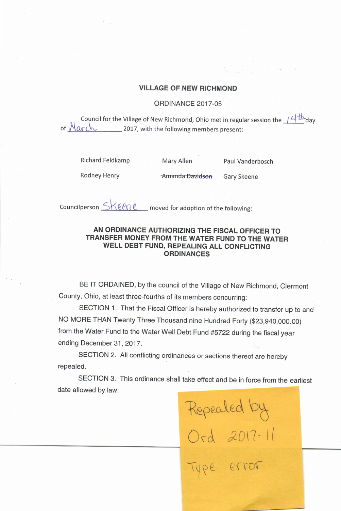## VILLAGE OF NEW RICHMOND

## ORDINANCE 2017-05

Council for the Village of New Richmond, Ohio met in regular session the  $14<sup>+</sup>$  day of  $Maxch$  2017, with the following members present:

Richard Feldkamp Mary Allen Paul Vanderbosch

 $\overline{\phantom{0}}$ 

Ord. 2017-1

Rodney Henry **Example 2** Amanda Davidson Gary Skeene

Councilperson  $\leq K$ ene moved for adoption of the following:

## AN ORDINANCE AUTHORIZING THE FISCAL OFFICER TO TRANSFER MONEY FROM THE WATER FUND TO THE WATER WELL DEBT FUND, REPEALING ALL CONFLICTING **ORDINANCES**

BE IT ORDAINED, by the council of the Village of New Richmond, Clermont County, Ohio, at least three-fourths of its members concurring:

SECTION 1. That the Fiscal Officer is hereby authorized to transfer up to and NO MORE THAN Twenty Three Thousand nine Hundred Forty (\$23,940,000.00). from the Water Fund to the Water Well Debt Fund #5722 during the fiscal year ending December 31, 2017.

SECTION 2. All conflicting ordinances or sections thereof are hereby repealed.

SECTION 3. This ordinance shall take effect and be in force from the earliest date allowed by law.